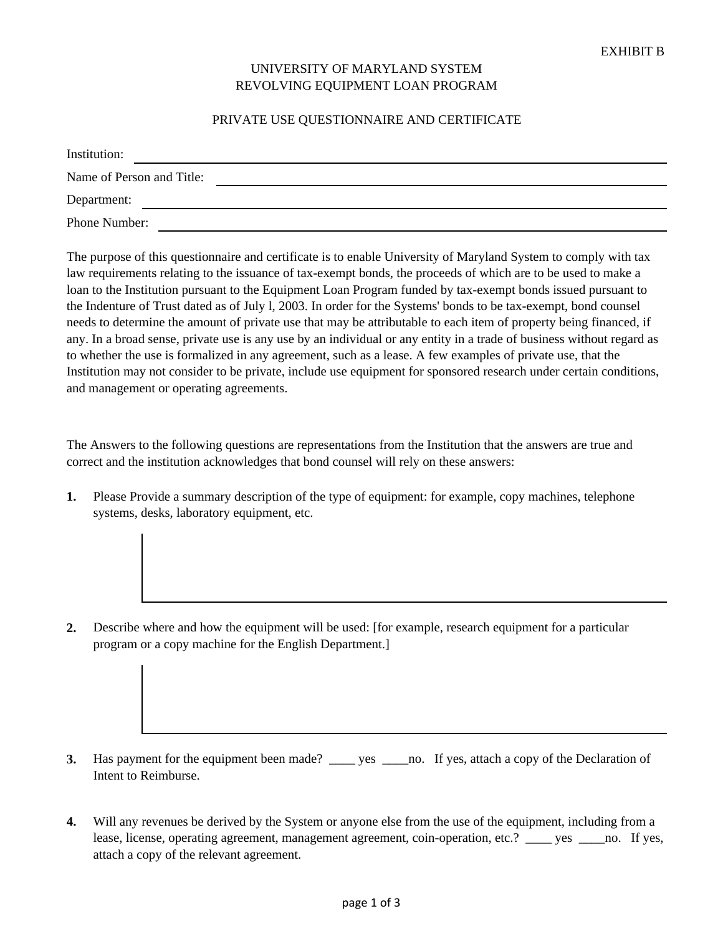## UNIVERSITY OF MARYLAND SYSTEM REVOLVING EQUIPMENT LOAN PROGRAM

## PRIVATE USE QUESTIONNAIRE AND CERTIFICATE

| Institution:              |  |
|---------------------------|--|
| Name of Person and Title: |  |
| Department:               |  |
| Phone Number:             |  |

The purpose of this questionnaire and certificate is to enable University of Maryland System to comply with tax law requirements relating to the issuance of tax-exempt bonds, the proceeds of which are to be used to make a loan to the Institution pursuant to the Equipment Loan Program funded by tax-exempt bonds issued pursuant to the Indenture of Trust dated as of July l, 2003. In order for the Systems' bonds to be tax-exempt, bond counsel needs to determine the amount of private use that may be attributable to each item of property being financed, if any. In a broad sense, private use is any use by an individual or any entity in a trade of business without regard as to whether the use is formalized in any agreement, such as a lease. A few examples of private use, that the Institution may not consider to be private, include use equipment for sponsored research under certain conditions, and management or operating agreements.

The Answers to the following questions are representations from the Institution that the answers are true and correct and the institution acknowledges that bond counsel will rely on these answers:

**1.** Please Provide a summary description of the type of equipment: for example, copy machines, telephone systems, desks, laboratory equipment, etc.

**2.** Describe where and how the equipment will be used: [for example, research equipment for a particular program or a copy machine for the English Department.]

- **3.** Has payment for the equipment been made? \_\_\_\_ yes \_\_\_\_no. If yes, attach a copy of the Declaration of Intent to Reimburse.
- **4.** Will any revenues be derived by the System or anyone else from the use of the equipment, including from a lease, license, operating agreement, management agreement, coin-operation, etc.? \_\_\_\_ yes \_\_\_\_no. If yes, attach a copy of the relevant agreement.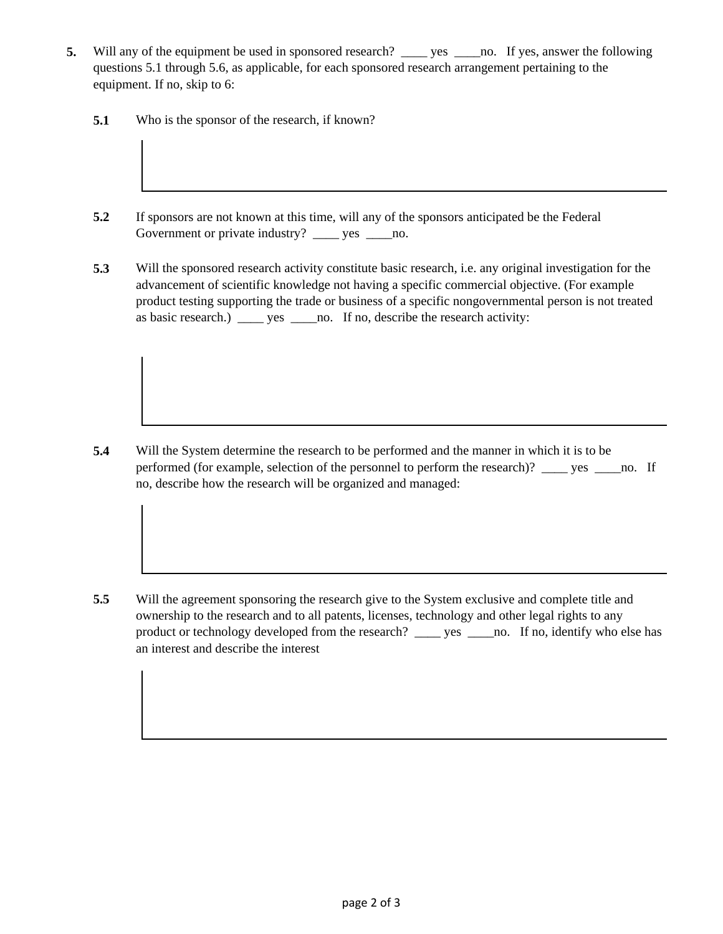- **5.** Will any of the equipment be used in sponsored research? \_\_\_\_ yes \_\_\_\_no. If yes, answer the following questions 5.1 through 5.6, as applicable, for each sponsored research arrangement pertaining to the equipment. If no, skip to 6:
	- **5.1** Who is the sponsor of the research, if known?
	- **5.2** If sponsors are not known at this time, will any of the sponsors anticipated be the Federal Government or private industry? \_\_\_\_ yes \_\_\_\_no.
	- **5.3** Will the sponsored research activity constitute basic research, i.e. any original investigation for the advancement of scientific knowledge not having a specific commercial objective. (For example product testing supporting the trade or business of a specific nongovernmental person is not treated as basic research.) \_\_\_\_ yes \_\_\_\_no. If no, describe the research activity:

**5.4** Will the System determine the research to be performed and the manner in which it is to be performed (for example, selection of the personnel to perform the research)? \_\_\_\_ yes \_\_\_\_no. If no, describe how the research will be organized and managed:

**5.5** Will the agreement sponsoring the research give to the System exclusive and complete title and ownership to the research and to all patents, licenses, technology and other legal rights to any product or technology developed from the research? \_\_\_\_ yes \_\_\_\_no. If no, identify who else has an interest and describe the interest